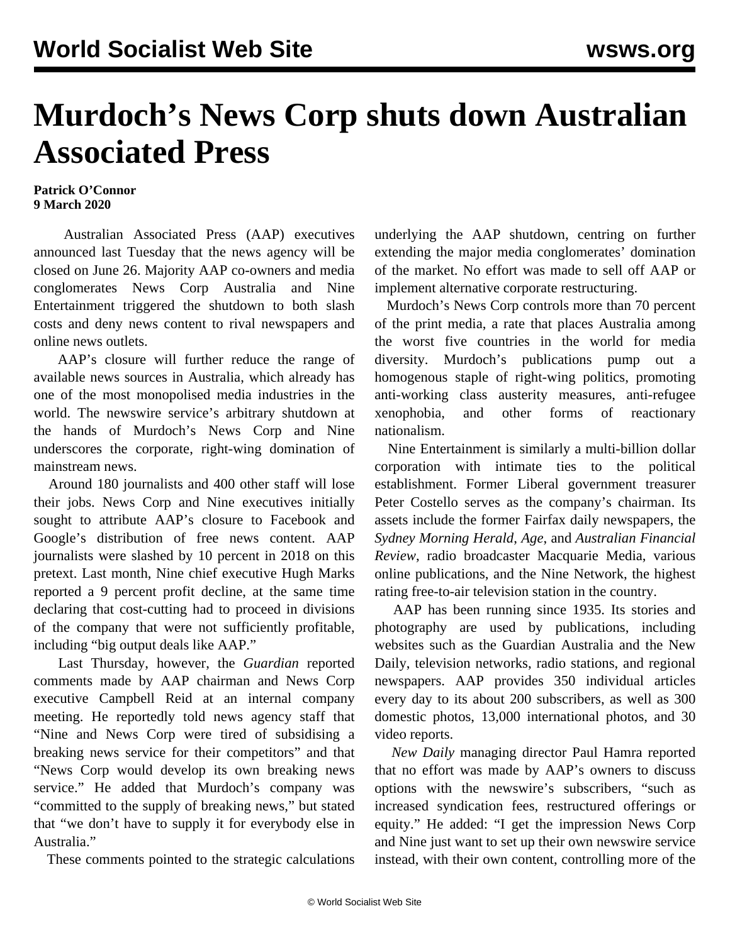## **Murdoch's News Corp shuts down Australian Associated Press**

## **Patrick O'Connor 9 March 2020**

 Australian Associated Press (AAP) executives announced last Tuesday that the news agency will be closed on June 26. Majority AAP co-owners and media conglomerates News Corp Australia and Nine Entertainment triggered the shutdown to both slash costs and deny news content to rival newspapers and online news outlets.

 AAP's closure will further reduce the range of available news sources in Australia, which already has one of the most monopolised media industries in the world. The newswire service's arbitrary shutdown at the hands of Murdoch's News Corp and Nine underscores the corporate, right-wing domination of mainstream news.

 Around 180 journalists and 400 other staff will lose their jobs. News Corp and Nine executives initially sought to attribute AAP's closure to Facebook and Google's distribution of free news content. AAP journalists were slashed by 10 percent in 2018 on this pretext. Last month, Nine chief executive Hugh Marks reported a 9 percent profit decline, at the same time declaring that cost-cutting had to proceed in divisions of the company that were not sufficiently profitable, including "big output deals like AAP."

 Last Thursday, however, the *Guardian* reported comments made by AAP chairman and News Corp executive Campbell Reid at an internal company meeting. He reportedly told news agency staff that "Nine and News Corp were tired of subsidising a breaking news service for their competitors" and that "News Corp would develop its own breaking news service." He added that Murdoch's company was "committed to the supply of breaking news," but stated that "we don't have to supply it for everybody else in Australia."

These comments pointed to the strategic calculations

underlying the AAP shutdown, centring on further extending the major media conglomerates' domination of the market. No effort was made to sell off AAP or implement alternative corporate restructuring.

 Murdoch's News Corp controls more than 70 percent of the print media, a rate that places Australia among the worst five countries in the world for media diversity. Murdoch's publications pump out a homogenous staple of right-wing politics, promoting anti-working class austerity measures, anti-refugee xenophobia, and other forms of reactionary nationalism.

 Nine Entertainment is similarly a multi-billion dollar corporation with intimate ties to the political establishment. Former Liberal government treasurer Peter Costello serves as the company's chairman. Its assets include the former Fairfax daily newspapers, the *Sydney Morning Herald*, *Age*, and *Australian Financial Review*, radio broadcaster Macquarie Media, various online publications, and the Nine Network, the highest rating free-to-air television station in the country.

 AAP has been running since 1935. Its stories and photography are used by publications, including websites such as the Guardian Australia and the New Daily, television networks, radio stations, and regional newspapers. AAP provides 350 individual articles every day to its about 200 subscribers, as well as 300 domestic photos, 13,000 international photos, and 30 video reports.

 *New Daily* managing director Paul Hamra reported that no effort was made by AAP's owners to discuss options with the newswire's subscribers, "such as increased syndication fees, restructured offerings or equity." He added: "I get the impression News Corp and Nine just want to set up their own newswire service instead, with their own content, controlling more of the